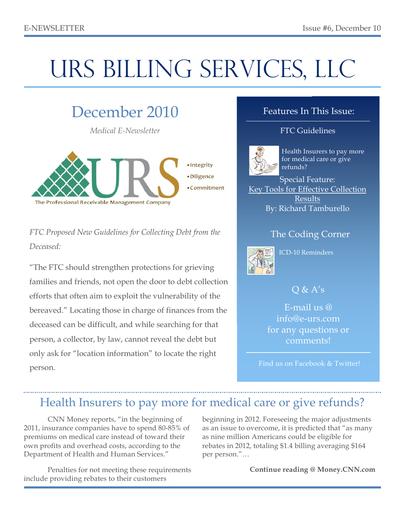# URS BILLING SERVICES, LLC

## December 2010

*Medical E-Newsletter*



*FTC Proposed New Guidelines for Collecting Debt from the Deceased:*

"The FTC should strengthen protections for grieving families and friends, not open the door to debt collection efforts that often aim to exploit the vulnerability of the bereaved." Locating those in charge of finances from the deceased can be difficult, and while searching for that person, a collector, by law, cannot reveal the debt but only ask for "location information" to locate the right person.

### Features In This Issue:

### **FTC Guidelines**



Health Insurers to pay more for medical care or give refunds?

Special Feature: Key Tools for Effective Collection Results By: Richard Tamburello

### The Coding Corner



ICD-10 Reminders

### $O & A's$

E-mail us @ info@e-urs.com for any questions or comments!

Find us on Facebook & Twitter!

## Health Insurers to pay more for medical care or give refunds?

CNN Money reports, "in the beginning of 2011, insurance companies have to spend 80-85% of premiums on medical care instead of toward their own profits and overhead costs, according to the Department of Health and Human Services."

Penalties for not meeting these requirements include providing rebates to their customers

beginning in 2012. Foreseeing the major adjustments as an issue to overcome, it is predicted that "as many as nine million Americans could be eligible for rebates in 2012, totaling \$1.4 billing averaging \$164 per person."…

**Continue reading @ Money.CNN.com**